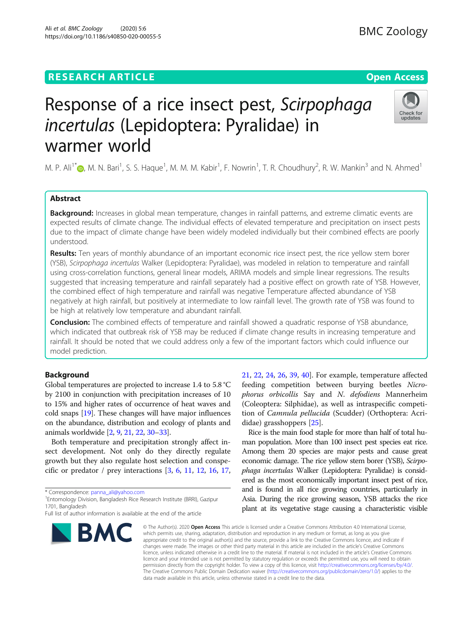## **RESEARCH ARTICLE Example 2014 12:30 The Contract of Contract ACCESS**

# Response of a rice insect pest, Scirpophaga incertulas (Lepidoptera: Pyralidae) in warmer world

M. P. Ali<sup>1\*</sup>©[,](http://orcid.org/0000-0001-8197-7064) M. N. Bari<sup>1</sup>, S. S. Haque<sup>1</sup>, M. M. M. Kabir<sup>1</sup>, F. Nowrin<sup>1</sup>, T. R. Choudhury<sup>2</sup>, R. W. Mankin<sup>3</sup> and N. Ahmed<sup>1</sup>

## Abstract

Background: Increases in global mean temperature, changes in rainfall patterns, and extreme climatic events are expected results of climate change. The individual effects of elevated temperature and precipitation on insect pests due to the impact of climate change have been widely modeled individually but their combined effects are poorly understood.

Results: Ten years of monthly abundance of an important economic rice insect pest, the rice yellow stem borer (YSB), Scirpophaga incertulas Walker (Lepidoptera: Pyralidae), was modeled in relation to temperature and rainfall using cross-correlation functions, general linear models, ARIMA models and simple linear regressions. The results suggested that increasing temperature and rainfall separately had a positive effect on growth rate of YSB. However, the combined effect of high temperature and rainfall was negative Temperature affected abundance of YSB negatively at high rainfall, but positively at intermediate to low rainfall level. The growth rate of YSB was found to be high at relatively low temperature and abundant rainfall.

**Conclusion:** The combined effects of temperature and rainfall showed a quadratic response of YSB abundance, which indicated that outbreak risk of YSB may be reduced if climate change results in increasing temperature and rainfall. It should be noted that we could address only a few of the important factors which could influence our model prediction.

## Background

Global temperatures are projected to increase 1.4 to 5.8 °C by 2100 in conjunction with precipitation increases of 10 to 15% and higher rates of occurrence of heat waves and cold snaps [\[19\]](#page-7-0). These changes will have major influences on the abundance, distribution and ecology of plants and animals worldwide [\[2](#page-7-0), [9,](#page-7-0) [21](#page-7-0), [22](#page-7-0), [30](#page-7-0)–[33](#page-7-0)].

Both temperature and precipitation strongly affect insect development. Not only do they directly regulate growth but they also regulate host selection and conspecific or predator / prey interactions [[3,](#page-7-0) [6](#page-7-0), [11,](#page-7-0) [12](#page-7-0), [16,](#page-7-0) [17](#page-7-0),

\* Correspondence: [panna\\_ali@yahoo.com](mailto:panna_ali@yahoo.com) <sup>1</sup>

<sup>1</sup> Entomology Division, Bangladesh Rice Research Institute (BRRI), Gazipur 1701, Bangladesh

[21,](#page-7-0) [22](#page-7-0), [24,](#page-7-0) [26](#page-7-0), [39](#page-7-0), [40](#page-7-0)]. For example, temperature affected feeding competition between burying beetles Nicrophorus orbicollis Say and N. defodiens Mannerheim (Coleoptera: Silphidae), as well as intraspecific competition of Camnula pellucida (Scudder) (Orthoptera: Acrididae) grasshoppers [[25\]](#page-7-0).

Rice is the main food staple for more than half of total human population. More than 100 insect pest species eat rice. Among them 20 species are major pests and cause great economic damage. The rice yellow stem borer (YSB), Scirpophaga incertulas Walker (Lepidoptera: Pyralidae) is considered as the most economically important insect pest of rice, and is found in all rice growing countries, particularly in Asia. During the rice growing season, YSB attacks the rice plant at its vegetative stage causing a characteristic visible

© The Author(s), 2020 **Open Access** This article is licensed under a Creative Commons Attribution 4.0 International License, which permits use, sharing, adaptation, distribution and reproduction in any medium or format, as long as you give appropriate credit to the original author(s) and the source, provide a link to the Creative Commons licence, and indicate if changes were made. The images or other third party material in this article are included in the article's Creative Commons licence, unless indicated otherwise in a credit line to the material. If material is not included in the article's Creative Commons licence and your intended use is not permitted by statutory regulation or exceeds the permitted use, you will need to obtain permission directly from the copyright holder. To view a copy of this licence, visit [http://creativecommons.org/licenses/by/4.0/.](http://creativecommons.org/licenses/by/4.0/) The Creative Commons Public Domain Dedication waiver [\(http://creativecommons.org/publicdomain/zero/1.0/](http://creativecommons.org/publicdomain/zero/1.0/)) applies to the data made available in this article, unless otherwise stated in a credit line to the data.









Full list of author information is available at the end of the article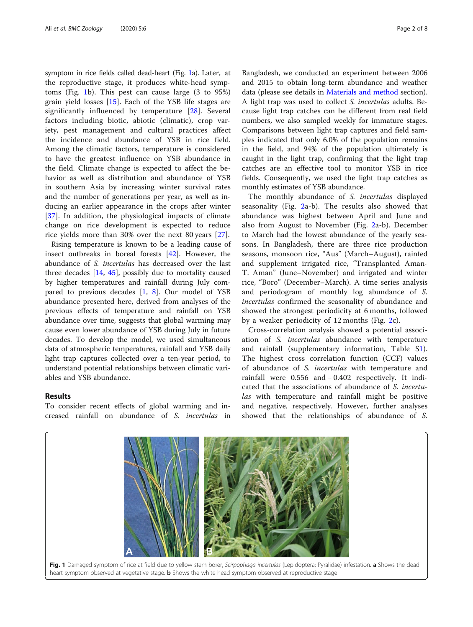symptom in rice fields called dead-heart (Fig. 1a). Later, at the reproductive stage, it produces white-head symptoms (Fig. 1b). This pest can cause large (3 to 95%) grain yield losses  $[15]$  $[15]$ . Each of the YSB life stages are significantly influenced by temperature [\[28](#page-7-0)]. Several factors including biotic, abiotic (climatic), crop variety, pest management and cultural practices affect the incidence and abundance of YSB in rice field. Among the climatic factors, temperature is considered to have the greatest influence on YSB abundance in the field. Climate change is expected to affect the behavior as well as distribution and abundance of YSB in southern Asia by increasing winter survival rates and the number of generations per year, as well as inducing an earlier appearance in the crops after winter [[37\]](#page-7-0). In addition, the physiological impacts of climate change on rice development is expected to reduce rice yields more than 30% over the next 80 years [[27\]](#page-7-0).

Rising temperature is known to be a leading cause of insect outbreaks in boreal forests [\[42](#page-7-0)]. However, the abundance of S. incertulas has decreased over the last three decades [\[14](#page-7-0), [45\]](#page-7-0), possibly due to mortality caused by higher temperatures and rainfall during July compared to previous decades  $[1, 8]$  $[1, 8]$  $[1, 8]$  $[1, 8]$ . Our model of YSB abundance presented here, derived from analyses of the previous effects of temperature and rainfall on YSB abundance over time, suggests that global warming may cause even lower abundance of YSB during July in future decades. To develop the model, we used simultaneous data of atmospheric temperatures, rainfall and YSB daily light trap captures collected over a ten-year period, to understand potential relationships between climatic variables and YSB abundance.

## Results

To consider recent effects of global warming and increased rainfall on abundance of S. incertulas in

Bangladesh, we conducted an experiment between 2006 and 2015 to obtain long-term abundance and weather data (please see details in [Materials and method](#page-5-0) section). A light trap was used to collect *S. incertulas* adults. Because light trap catches can be different from real field numbers, we also sampled weekly for immature stages. Comparisons between light trap captures and field samples indicated that only 6.0% of the population remains in the field, and 94% of the population ultimately is caught in the light trap, confirming that the light trap catches are an effective tool to monitor YSB in rice fields. Consequently, we used the light trap catches as monthly estimates of YSB abundance.

The monthly abundance of S. incertulas displayed seasonality (Fig. [2](#page-2-0)a-b). The results also showed that abundance was highest between April and June and also from August to November (Fig. [2a](#page-2-0)-b). December to March had the lowest abundance of the yearly seasons. In Bangladesh, there are three rice production seasons, monsoon rice, "Aus" (March–August), rainfed and supplement irrigated rice, "Transplanted Aman-T. Aman" (June–November) and irrigated and winter rice, "Boro" (December–March). A time series analysis and periodogram of monthly log abundance of S. incertulas confirmed the seasonality of abundance and showed the strongest periodicity at 6 months, followed by a weaker periodicity of 12 months (Fig. [2c](#page-2-0)).

Cross-correlation analysis showed a potential association of S. incertulas abundance with temperature and rainfall (supplementary information, Table [S1](#page-6-0)). The highest cross correlation function (CCF) values of abundance of S. incertulas with temperature and rainfall were 0.556 and − 0.402 respectively. It indicated that the associations of abundance of S. incertulas with temperature and rainfall might be positive and negative, respectively. However, further analyses showed that the relationships of abundance of S.

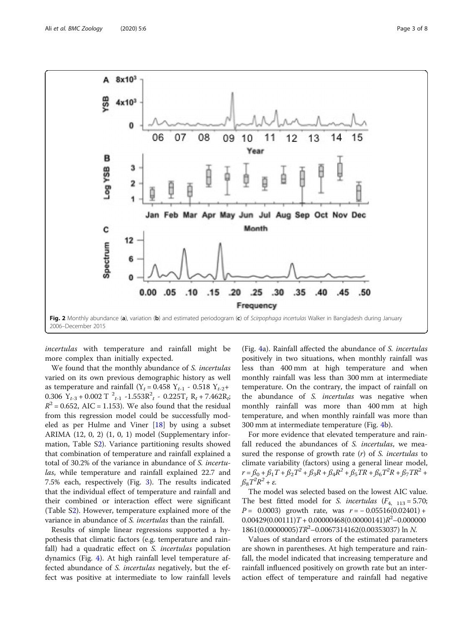<span id="page-2-0"></span>

incertulas with temperature and rainfall might be more complex than initially expected.

We found that the monthly abundance of S. incertulas varied on its own previous demographic history as well as temperature and rainfall (Y<sub>t</sub> = 0.458 Y<sub>t-1</sub> - 0.518 Y<sub>t-2</sub>+ 0.306  $Y_{t-3}$  + 0.002 T  $^2_{t-1}$  -1.553 $R_t^2$  - 0.225T<sub>t</sub> R<sub>t</sub> + 7.462R<sub>t</sub>;  $R^2$  = 0.652, AIC = 1.153). We also found that the residual from this regression model could be successfully modeled as per Hulme and Viner [\[18](#page-7-0)] by using a subset ARIMA (12, 0, 2) (1, 0, 1) model (Supplementary information, Table [S2](#page-6-0)). Variance partitioning results showed that combination of temperature and rainfall explained a total of 30.2% of the variance in abundance of S. incertulas, while temperature and rainfall explained 22.7 and 7.5% each, respectively (Fig. [3](#page-3-0)). The results indicated that the individual effect of temperature and rainfall and their combined or interaction effect were significant (Table [S2](#page-6-0)). However, temperature explained more of the variance in abundance of S. incertulas than the rainfall.

Results of simple linear regressions supported a hypothesis that climatic factors (e.g. temperature and rainfall) had a quadratic effect on *S. incertulas* population dynamics (Fig. [4\)](#page-3-0). At high rainfall level temperature affected abundance of S. incertulas negatively, but the effect was positive at intermediate to low rainfall levels

(Fig. [4a](#page-3-0)). Rainfall affected the abundance of S. incertulas positively in two situations, when monthly rainfall was less than 400 mm at high temperature and when monthly rainfall was less than 300 mm at intermediate temperature. On the contrary, the impact of rainfall on the abundance of S. *incertulas* was negative when monthly rainfall was more than 400 mm at high temperature, and when monthly rainfall was more than 300 mm at intermediate temperature (Fig. [4](#page-3-0)b).

For more evidence that elevated temperature and rainfall reduced the abundances of S. incertulas, we measured the response of growth rate  $(r)$  of S. incertulas to climate variability (factors) using a general linear model,  $r = \beta_0 + \beta_1 T + \beta_2 T^2 + \beta_3 R + \beta_4 R^2 + \beta_5 T R + \beta_6 T^2 R + \beta_7 T R^2 +$  $\beta_8 T^2 R^2 + \varepsilon$ .

The model was selected based on the lowest AIC value. The best fitted model for S. incertulas  $(F_{4, 113} = 5.70;$  $P = 0.0003$ ) growth rate, was  $r = -0.05516(0.02401) +$  $0.00429(0.00111)T + 0.00000468(0.00000141)R^2 - 0.000000$ 1861(0.00000005) $TR^2 - 0.0067314162(0.00353037)$  ln N.

Values of standard errors of the estimated parameters are shown in parentheses. At high temperature and rainfall, the model indicated that increasing temperature and rainfall influenced positively on growth rate but an interaction effect of temperature and rainfall had negative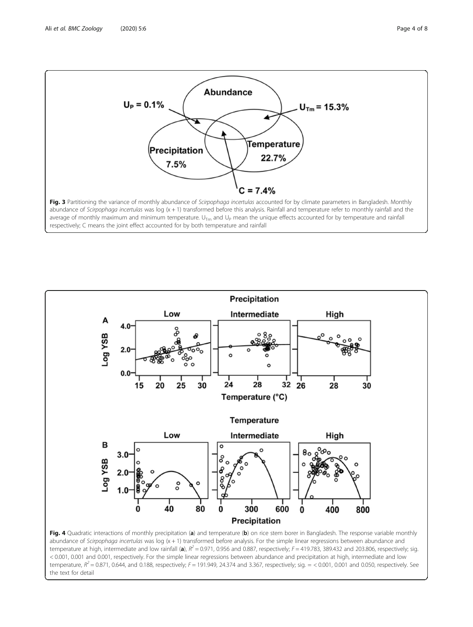<span id="page-3-0"></span>



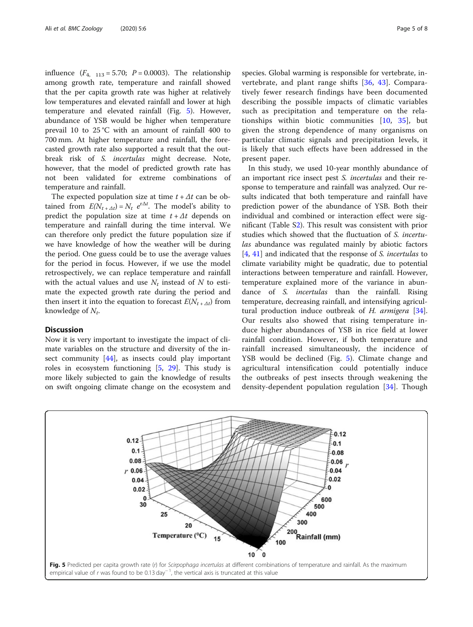influence  $(F_{4, 113} = 5.70; P = 0.0003)$ . The relationship among growth rate, temperature and rainfall showed that the per capita growth rate was higher at relatively low temperatures and elevated rainfall and lower at high temperature and elevated rainfall (Fig. 5). However, abundance of YSB would be higher when temperature prevail 10 to 25 °C with an amount of rainfall 400 to 700 mm. At higher temperature and rainfall, the forecasted growth rate also supported a result that the outbreak risk of S. incertulas might decrease. Note, however, that the model of predicted growth rate has not been validated for extreme combinations of temperature and rainfall.

The expected population size at time  $t + \Delta t$  can be obtained from  $E(N_{t + \Delta t}) = N_t e^{i\Delta t}$ . The model's ability to predict the population size at time  $t + \Delta t$  depends on temperature and rainfall during the time interval. We can therefore only predict the future population size if we have knowledge of how the weather will be during the period. One guess could be to use the average values for the period in focus. However, if we use the model retrospectively, we can replace temperature and rainfall with the actual values and use  $N_t$  instead of N to estimate the expected growth rate during the period and then insert it into the equation to forecast  $E(N_{t + \Delta t})$  from knowledge of  $N_t$ .

## Discussion

Now it is very important to investigate the impact of climate variables on the structure and diversity of the in-sect community [[44\]](#page-7-0), as insects could play important roles in ecosystem functioning [[5,](#page-7-0) [29\]](#page-7-0). This study is more likely subjected to gain the knowledge of results on swift ongoing climate change on the ecosystem and

species. Global warming is responsible for vertebrate, invertebrate, and plant range shifts [[36,](#page-7-0) [43](#page-7-0)]. Comparatively fewer research findings have been documented describing the possible impacts of climatic variables such as precipitation and temperature on the relationships within biotic communities  $[10, 35]$  $[10, 35]$  $[10, 35]$  $[10, 35]$ , but given the strong dependence of many organisms on particular climatic signals and precipitation levels, it is likely that such effects have been addressed in the present paper.

In this study, we used 10-year monthly abundance of an important rice insect pest S. incertulas and their response to temperature and rainfall was analyzed. Our results indicated that both temperature and rainfall have prediction power of the abundance of YSB. Both their individual and combined or interaction effect were significant (Table [S2](#page-6-0)). This result was consistent with prior studies which showed that the fluctuation of S. incertulas abundance was regulated mainly by abiotic factors [[4,](#page-7-0) [41\]](#page-7-0) and indicated that the response of *S. incertulas* to climate variability might be quadratic, due to potential interactions between temperature and rainfall. However, temperature explained more of the variance in abundance of *S. incertulas* than the rainfall. Rising temperature, decreasing rainfall, and intensifying agricul-tural production induce outbreak of H. armigera [\[34](#page-7-0)]. Our results also showed that rising temperature induce higher abundances of YSB in rice field at lower rainfall condition. However, if both temperature and rainfall increased simultaneously, the incidence of YSB would be declined (Fig. 5). Climate change and agricultural intensification could potentially induce the outbreaks of pest insects through weakening the density-dependent population regulation [[34\]](#page-7-0). Though

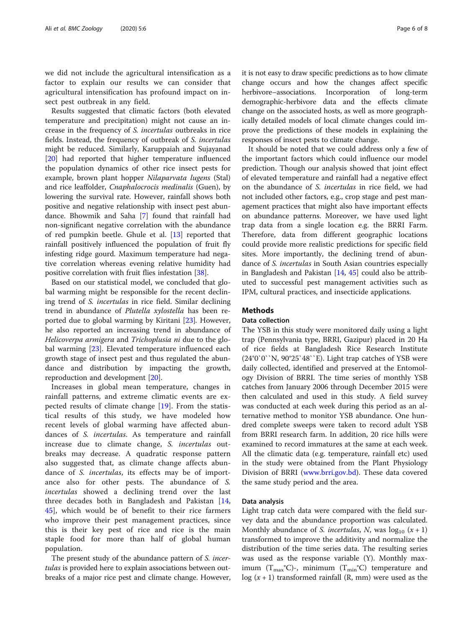<span id="page-5-0"></span>we did not include the agricultural intensification as a factor to explain our results we can consider that agricultural intensification has profound impact on insect pest outbreak in any field.

Results suggested that climatic factors (both elevated temperature and precipitation) might not cause an increase in the frequency of S. incertulas outbreaks in rice fields. Instead, the frequency of outbreak of S. incertulas might be reduced. Similarly, Karuppaiah and Sujayanad [[20\]](#page-7-0) had reported that higher temperature influenced the population dynamics of other rice insect pests for example, brown plant hopper Nilaparvata lugens (Stal) and rice leaffolder, Cnaphalocrocis medinalis (Guen), by lowering the survival rate. However, rainfall shows both positive and negative relationship with insect pest abundance. Bhowmik and Saha [[7\]](#page-7-0) found that rainfall had non-significant negative correlation with the abundance of red pumpkin beetle. Ghule et al. [[13](#page-7-0)] reported that rainfall positively influenced the population of fruit fly infesting ridge gourd. Maximum temperature had negative correlation whereas evening relative humidity had positive correlation with fruit flies infestation [[38\]](#page-7-0).

Based on our statistical model, we concluded that global warming might be responsible for the recent declining trend of S. incertulas in rice field. Similar declining trend in abundance of Plutella xylostella has been reported due to global warming by Kiritani [\[23](#page-7-0)]. However, he also reported an increasing trend in abundance of Helicoverpa armigera and Trichoplusia ni due to the global warming [\[23](#page-7-0)]. Elevated temperature influenced each growth stage of insect pest and thus regulated the abundance and distribution by impacting the growth, reproduction and development [[20](#page-7-0)].

Increases in global mean temperature, changes in rainfall patterns, and extreme climatic events are expected results of climate change [\[19](#page-7-0)]. From the statistical results of this study, we have modeled how recent levels of global warming have affected abundances of S. incertulas. As temperature and rainfall increase due to climate change, S. incertulas outbreaks may decrease. A quadratic response pattern also suggested that, as climate change affects abundance of S. incertulas, its effects may be of importance also for other pests. The abundance of S. incertulas showed a declining trend over the last three decades both in Bangladesh and Pakistan [\[14](#page-7-0), [45\]](#page-7-0), which would be of benefit to their rice farmers who improve their pest management practices, since this is their key pest of rice and rice is the main staple food for more than half of global human population.

The present study of the abundance pattern of *S. incer*tulas is provided here to explain associations between outbreaks of a major rice pest and climate change. However, it is not easy to draw specific predictions as to how climate change occurs and how the changes affect specific herbivore–associations. Incorporation of long-term demographic-herbivore data and the effects climate change on the associated hosts, as well as more geographically detailed models of local climate changes could improve the predictions of these models in explaining the responses of insect pests to climate change.

It should be noted that we could address only a few of the important factors which could influence our model prediction. Though our analysis showed that joint effect of elevated temperature and rainfall had a negative effect on the abundance of S. incertulas in rice field, we had not included other factors, e.g., crop stage and pest management practices that might also have important effects on abundance patterns. Moreover, we have used light trap data from a single location e.g. the BRRI Farm. Therefore, data from different geographic locations could provide more realistic predictions for specific field sites. More importantly, the declining trend of abundance of S. incertulas in South Asian countries especially in Bangladesh and Pakistan [[14,](#page-7-0) [45\]](#page-7-0) could also be attributed to successful pest management activities such as IPM, cultural practices, and insecticide applications.

## **Methods**

## Data collection

The YSB in this study were monitored daily using a light trap (Pennsylvania type, BRRI, Gazipur) placed in 20 Ha of rice fields at Bangladesh Rice Research Institute (24°0`0``N, 90°25`48``E). Light trap catches of YSB were daily collected, identified and preserved at the Entomology Division of BRRI. The time series of monthly YSB catches from January 2006 through December 2015 were then calculated and used in this study. A field survey was conducted at each week during this period as an alternative method to monitor YSB abundance. One hundred complete sweeps were taken to record adult YSB from BRRI research farm. In addition, 20 rice hills were examined to record immatures at the same at each week. All the climatic data (e.g. temperature, rainfall etc) used in the study were obtained from the Plant Physiology Division of BRRI ([www.brri.gov.bd\)](http://www.brri.gov.bd). These data covered the same study period and the area.

## Data analysis

Light trap catch data were compared with the field survey data and the abundance proportion was calculated. Monthly abundance of *S. incertulas*, *N*, was  $log_{10} (x + 1)$ transformed to improve the additivity and normalize the distribution of the time series data. The resulting series was used as the response variable (Y). Monthly maximum  $(T_{\text{max}}^{\circ}C)$ -, minimum  $(T_{\text{min}}^{\circ}C)$  temperature and  $log(x + 1)$  transformed rainfall (R, mm) were used as the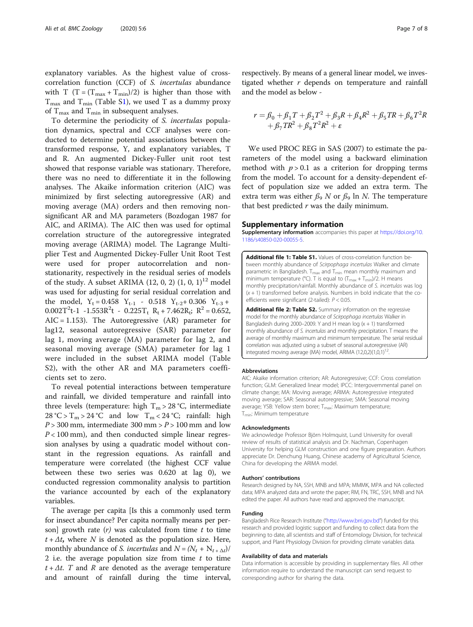<span id="page-6-0"></span>explanatory variables. As the highest value of crosscorrelation function (CCF) of S. incertulas abundance with T  $(T = (T_{max} + T_{min})/2)$  is higher than those with  $T_{\text{max}}$  and  $T_{\text{min}}$  (Table S1), we used T as a dummy proxy of  $T_{\text{max}}$  and  $T_{\text{min}}$  in subsequent analyses.

To determine the periodicity of S. incertulas population dynamics, spectral and CCF analyses were conducted to determine potential associations between the transformed response, Y, and explanatory variables, T and R. An augmented Dickey-Fuller unit root test showed that response variable was stationary. Therefore, there was no need to differentiate it in the following analyses. The Akaike information criterion (AIC) was minimized by first selecting autoregressive (AR) and moving average (MA) orders and then removing nonsignificant AR and MA parameters (Bozdogan 1987 for AIC, and ARIMA). The AIC then was used for optimal correlation structure of the autoregressive integrated moving average (ARIMA) model. The Lagrange Multiplier Test and Augmented Dickey-Fuller Unit Root Test were used for proper autocorrelation and nonstationarity, respectively in the residual series of models of the study. A subset ARIMA  $(12, 0, 2)$   $(1, 0, 1)$ <sup>12</sup> model was used for adjusting for serial residual correlation and the model,  $Y_t = 0.458$   $Y_{t-1}$  - 0.518  $Y_{t-2}$  + 0.306  $Y_{t-3}$  +  $0.002T^2t-1$   $-1.553R^2t$  -  $0.225T_t$   $R_t + 7.462R_t$ ;  $R^2 = 0.652$ ,  $AIC = 1.153$ ). The Autoregressive  $(AR)$  parameter for lag12, seasonal autoregressive (SAR) parameter for lag 1, moving average (MA) parameter for lag 2, and seasonal moving average (SMA) parameter for lag 1 were included in the subset ARIMA model (Table S2), with the other AR and MA parameters coefficients set to zero.

To reveal potential interactions between temperature and rainfall, we divided temperature and rainfall into three levels (temperature: high  $T_m > 28$  °C, intermediate  $28 \text{ °C} > T_m > 24 \text{ °C}$  and low  $T_m < 24 \text{ °C}$ ; rainfall: high  $P > 300$  mm, intermediate 300 mm  $> P > 100$  mm and low  $P < 100$  mm), and then conducted simple linear regression analyses by using a quadratic model without constant in the regression equations. As rainfall and temperature were correlated (the highest CCF value between these two series was 0.620 at lag 0), we conducted regression commonality analysis to partition the variance accounted by each of the explanatory variables.

The average per capita [Is this a commonly used term for insect abundance? Per capita normally means per person] growth rate  $(r)$  was calculated from time t to time  $t + \Delta t$ , where N is denoted as the population size. Here, monthly abundance of *S. incertulas* and  $N = (N_t + N_{t + \Delta t})/T$ 2 i.e. the average population size from time  $t$  to time  $t + \Delta t$ . T and R are denoted as the average temperature and amount of rainfall during the time interval, respectively. By means of a general linear model, we investigated whether  $r$  depends on temperature and rainfall and the model as below -

$$
r = \beta_0 + \beta_1 T + \beta_2 T^2 + \beta_3 R + \beta_4 R^2 + \beta_5 T R + \beta_6 T^2 R + \beta_7 T R^2 + \beta_8 T^2 R^2 + \varepsilon
$$

We used PROC REG in SAS (2007) to estimate the parameters of the model using a backward elimination method with  $p > 0.1$  as a criterion for dropping terms from the model. To account for a density-dependent effect of population size we added an extra term. The extra term was either  $\beta_9$  N or  $\beta_9$  ln N. The temperature that best predicted  $r$  was the daily minimum.

#### Supplementary information

Supplementary information accompanies this paper at [https://doi.org/10.](https://doi.org/10.1186/s40850-020-00055-5) [1186/s40850-020-00055-5](https://doi.org/10.1186/s40850-020-00055-5).

Additional file 1: Table S1. Values of cross-correlation function between monthly abundance of Scirpophaga incertulas Walker and climate parametric in Bangladesh.  $T_{max}$  and  $T_{min}$  mean monthly maximum and minimum temperature (°C). T is equal to  $(T_{\text{max}} + T_{\text{min}})/2$ . H means monthly precipitation/rainfall. Monthly abundance of S. incertulas was log  $(x + 1)$  transformed before analysis. Numbers in bold indicate that the coefficients were significant (2-tailed): P < 0.05.

Additional file 2: Table S2. Summary information on the regressive model for the monthly abundance of Scirpophaga incertulas Walker in Bangladesh during 2000–2009. Y and H mean  $log(x + 1)$  transformed monthly abundance of S. incertulas and monthly precipitation. T means the average of monthly maximum and minimum temperature. The serial residual correlation was adjusted using a subset of seasonal autoregressive (AR) integrated moving average (MA) model, ARIMA  $(12,0,2)(1,0,1)^{12}$ .

#### **Abbreviations**

AIC: Akaike information criterion; AR: Autoregressive; CCF: Cross correlation function; GLM: Generalized linear model; IPCC: Intergovernmental panel on climate change; MA: Moving average; ARIMA: Autoregressive integrated moving average; SAR: Seasonal autoregressive; SMA: Seasonal moving average; YSB: Yellow stem borer; T<sub>max</sub>: Maximum temperature; T<sub>min</sub>: Minimum temperature

#### Acknowledgments

We acknowledge Professor Björn Holmquist, Lund University for overall review of results of statistical analysis and Dr. Nachman, Copenhagen University for helping GLM construction and one figure preparation. Authors appreciate Dr. Denchung Huang, Chinese academy of Agricultural Science, China for developing the ARIMA model.

#### Authors' contributions

Research designed by NA, SSH, MNB and MPA; MMMK, MPA and NA collected data; MPA analyzed data and wrote the paper; RM, FN, TRC, SSH, MNB and NA edited the paper. All authors have read and approved the manuscript.

#### Funding

Bangladesh Rice Research Institute ("<http://www.brri.gov.bd>") funded for this research and provided logistic support and funding to collect data from the beginning to date, all scientists and staff of Entomology Division, for technical support, and Plant Physiology Division for providing climate variables data.

#### Availability of data and materials

Data information is accessible by providing in supplementary files. All other information require to understand the manuscript can send request to corresponding author for sharing the data.